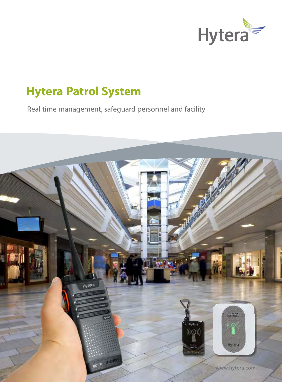

# **Hytera Patrol System**

Real time management, safeguard personnel and facility

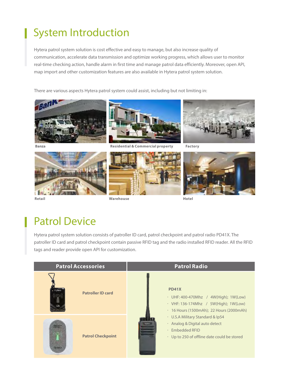# System Introduction

Hytera patrol system solution is cost effective and easy to manage, but also increase quality of communication, accelerate data transmission and optimize working progress, which allows user to monitor real-time checking action, handle alarm in first time and manage patrol data efficiently. Moreover, open API, map import and other customization features are also available in Hytera patrol system solution.

There are various aspects Hytera patrol system could assist, including but not limiting in:









**Retail Warehouse Hotel**





## Patrol Device

Hytera patrol system solution consists of patroller ID card, patrol checkpoint and patrol radio PD41X. The patroller ID card and patrol checkpoint contain passive RFID tag and the radio installed RFID reader. All the RFID tags and reader provide open API for customization.

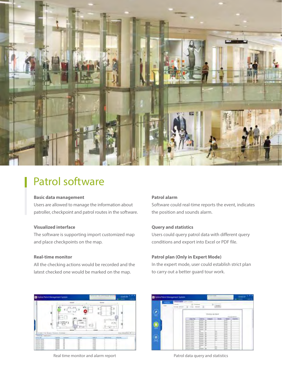

## Patrol software

#### **Basic data management**

Users are allowed to manage the information about patroller, checkpoint and patrol routes in the software.

### **Visualized interface**

The software is supporting import customized map and place checkpoints on the map.

### **Real-time monitor**

All the checking actions would be recorded and the latest checked one would be marked on the map.

#### **Patrol alarm**

Software could real-time reports the event, indicates the position and sounds alarm.

#### **Query and statistics**

Users could query patrol data with different query conditions and export into Excel or PDF file.

### **Patrol plan (Only in Expert Mode)**

In the expert mode, user could establish strict plan to carry out a better guard tour work.



Real time monitor and alarm report **Patrol data query and statistics** Patrol data query and statistics

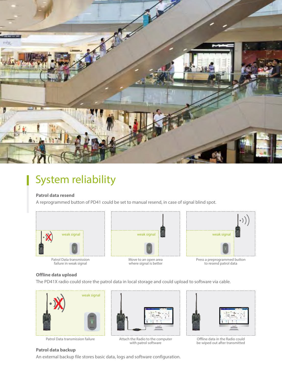

## System reliability

### **Patrol data resend**

A reprogrammed button of PD41 could be set to manual resend, in case of signal blind spot.



Patrol Data transmission failure in weak signal



Move to an open area where signal is better



Press a preprogrammed button to resend patrol data

### **Offline data upload**

The PD41X radio could store the patrol data in local storage and could upload to software via cable.







Patrol Data transmission failure **Attach the Radio to the computer**<br>with patrol software



Offline data in the Radio could be wiped out after transmitted

### **Patrol data backup**

An external backup file stores basic data, logs and software configuration.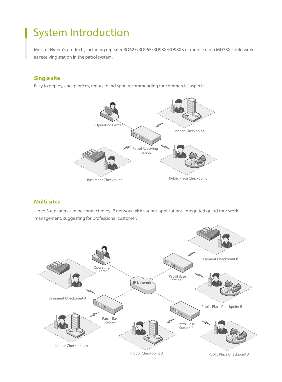# System Introduction

Most of Hytera's products, including repeater RD62X/RD96X/RD98X/RD98XS or mobile radio MD78X could work as receiving station in the patrol system.

### **Single site**

Easy to deploy, cheap prices, reduce blind spot, recommending for commercial aspects.



### **Multi sites**

Up to 3 repeaters can be connected by IP network with various applications, integrated guard tour work management, suggesting for professional customer.